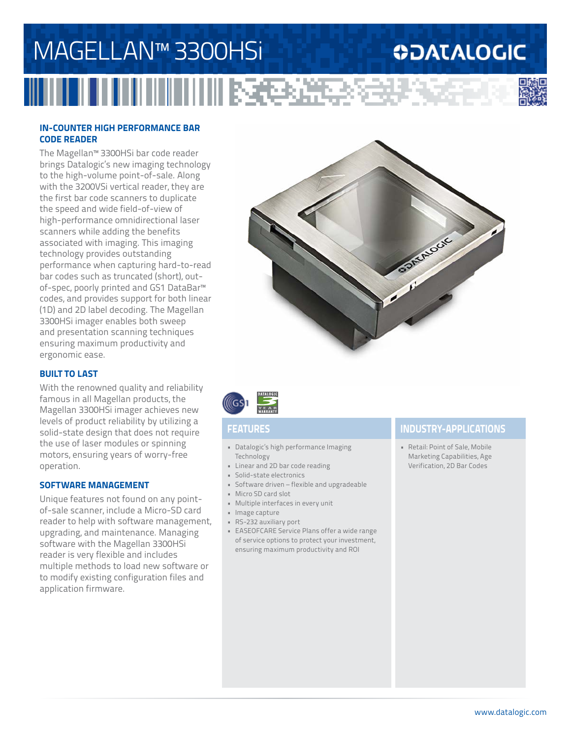## MAGELLAN™ 3300HSi **ODATALOGIC** IIIIIII ISEBSEESSEE

#### **IN-COUNTER HIGH PERFORMANCE BAR CODE READER**

The Magellan™ 3300HSi bar code reader brings Datalogic's new imaging technology to the high-volume point-of-sale. Along with the 3200VSi vertical reader, they are the first bar code scanners to duplicate the speed and wide field-of-view of high-performance omnidirectional laser scanners while adding the benefits associated with imaging. This imaging technology provides outstanding performance when capturing hard-to-read bar codes such as truncated (short), outof-spec, poorly printed and GS1 DataBar™ codes, and provides support for both linear (1D) and 2D label decoding. The Magellan 3300HSi imager enables both sweep and presentation scanning techniques ensuring maximum productivity and ergonomic ease.

### **BUILT TO LAST**

With the renowned quality and reliability famous in all Magellan products, the Magellan 3300HSi imager achieves new levels of product reliability by utilizing a solid-state design that does not require the use of laser modules or spinning motors, ensuring years of worry-free operation.

#### **SOFTWARE MANAGEMENT**

Unique features not found on any pointof-sale scanner, include a Micro-SD card reader to help with software management, upgrading, and maintenance. Managing software with the Magellan 3300HSi reader is very flexible and includes multiple methods to load new software or to modify existing configuration files and application firmware.





- Datalogic's high performance Imaging Technology
- Linear and 2D bar code reading
- Solid-state electronics
- Software driven flexible and upgradeable
- Micro SD card slot
- Multiple interfaces in every unit
- Image capture
- RS-232 auxiliary port
- EASEOFCARE Service Plans offer a wide range of service options to protect your investment, ensuring maximum productivity and ROI

### **FEATURES INDUSTRY-APPLICATIONS**

• Retail: Point of Sale, Mobile Marketing Capabilities, Age Verification, 2D Bar Codes